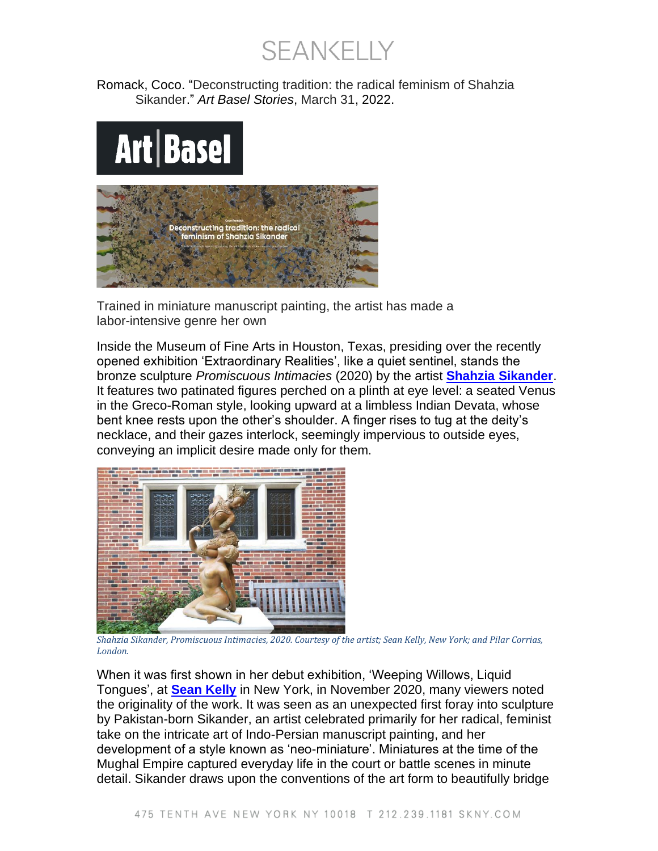**SEANKELLY** 

Romack, Coco. "Deconstructing tradition: the radical feminism of Shahzia Sikander." *Art Basel Stories*, March 31, 2022.

## Art | Basel



Trained in miniature manuscript painting, the artist has made a labor-intensive genre her own

Inside the Museum of Fine Arts in Houston, Texas, presiding over the recently opened exhibition 'Extraordinary Realities', like a quiet sentinel, stands the bronze sculpture *Promiscuous Intimacies* (2020) by the artist **[Shahzia Sikander](https://www.artbasel.com/catalog/artist/9633/Shahzia-Sikander)**. It features two patinated figures perched on a plinth at eye level: a seated Venus in the Greco-Roman style, looking upward at a limbless Indian Devata, whose bent knee rests upon the other's shoulder. A finger rises to tug at the deity's necklace, and their gazes interlock, seemingly impervious to outside eyes, conveying an implicit desire made only for them.



*Shahzia Sikander, Promiscuous Intimacies, 2020. Courtesy of the artist; Sean Kelly, New York; and Pilar Corrias, London.*

When it was first shown in her debut exhibition, 'Weeping Willows, Liquid Tongues', at **[Sean Kelly](https://www.artbasel.com/catalog/gallery/1435/Sean-Kelly)** in New York, in November 2020, many viewers noted the originality of the work. It was seen as an unexpected first foray into sculpture by Pakistan-born Sikander, an artist celebrated primarily for her radical, feminist take on the intricate art of Indo-Persian manuscript painting, and her development of a style known as 'neo-miniature'. Miniatures at the time of the Mughal Empire captured everyday life in the court or battle scenes in minute detail. Sikander draws upon the conventions of the art form to beautifully bridge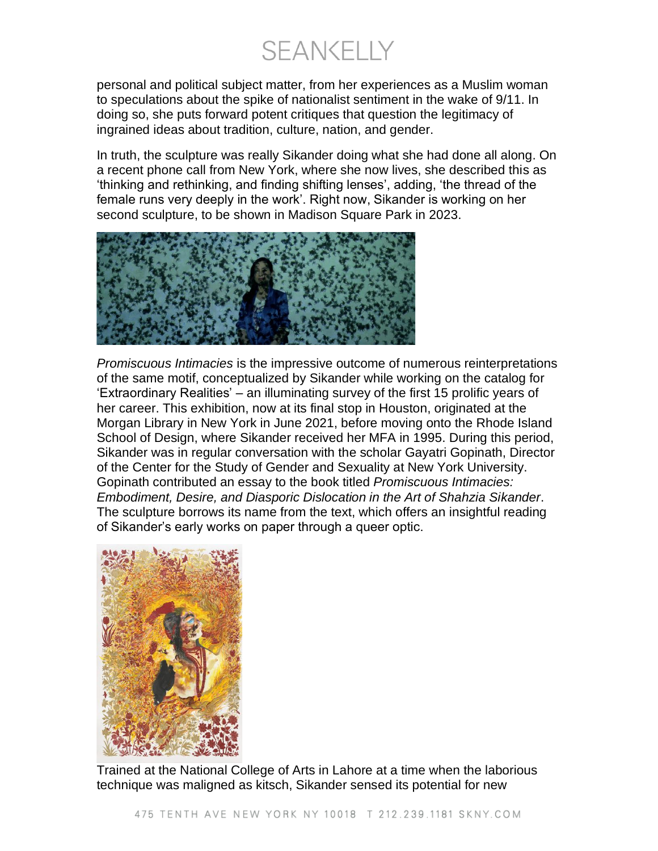**SEANKELLY** 

personal and political subject matter, from her experiences as a Muslim woman to speculations about the spike of nationalist sentiment in the wake of 9/11. In doing so, she puts forward potent critiques that question the legitimacy of ingrained ideas about tradition, culture, nation, and gender.

In truth, the sculpture was really Sikander doing what she had done all along. On a recent phone call from New York, where she now lives, she described this as 'thinking and rethinking, and finding shifting lenses', adding, 'the thread of the female runs very deeply in the work'. Right now, Sikander is working on her second sculpture, to be shown in Madison Square Park in 2023.



*Promiscuous Intimacies* is the impressive outcome of numerous reinterpretations of the same motif, conceptualized by Sikander while working on the catalog for 'Extraordinary Realities' – an illuminating survey of the first 15 prolific years of her career. This exhibition, now at its final stop in Houston, originated at the Morgan Library in New York in June 2021, before moving onto the Rhode Island School of Design, where Sikander received her MFA in 1995. During this period, Sikander was in regular conversation with the scholar Gayatri Gopinath, Director of the Center for the Study of Gender and Sexuality at New York University. Gopinath contributed an essay to the book titled *Promiscuous Intimacies: Embodiment, Desire, and Diasporic Dislocation in the Art of Shahzia Sikander*. The sculpture borrows its name from the text, which offers an insightful reading of Sikander's early works on paper through a queer optic.



Trained at the National College of Arts in Lahore at a time when the laborious technique was maligned as kitsch, Sikander sensed its potential for new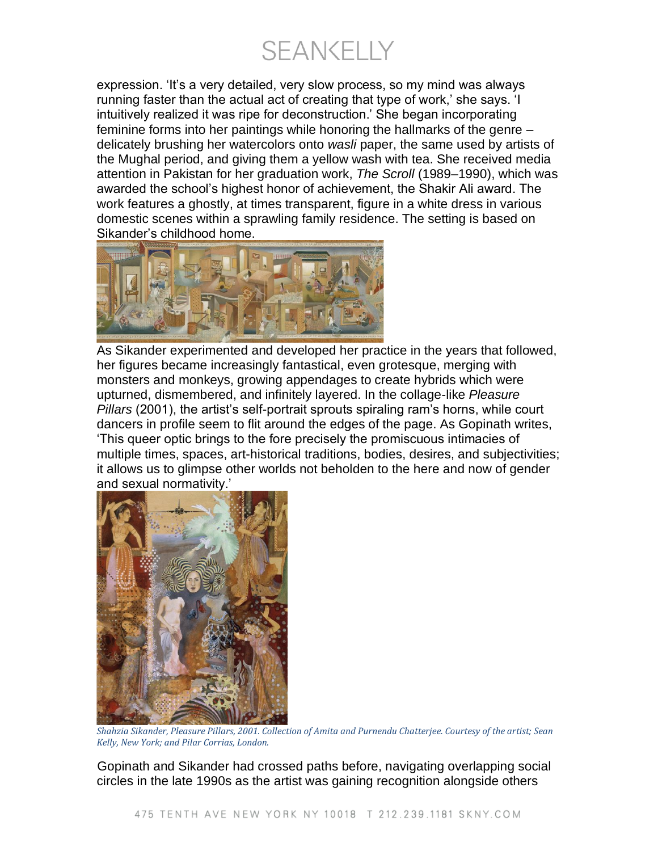**SEANKELLY** 

expression. 'It's a very detailed, very slow process, so my mind was always running faster than the actual act of creating that type of work,' she says. 'I intuitively realized it was ripe for deconstruction.' She began incorporating feminine forms into her paintings while honoring the hallmarks of the genre – delicately brushing her watercolors onto *wasli* paper, the same used by artists of the Mughal period, and giving them a yellow wash with tea. She received media attention in Pakistan for her graduation work, *The Scroll* (1989–1990), which was awarded the school's highest honor of achievement, the Shakir Ali award. The work features a ghostly, at times transparent, figure in a white dress in various domestic scenes within a sprawling family residence. The setting is based on Sikander's childhood home.



As Sikander experimented and developed her practice in the years that followed, her figures became increasingly fantastical, even grotesque, merging with monsters and monkeys, growing appendages to create hybrids which were upturned, dismembered, and infinitely layered. In the collage-like *Pleasure Pillars* (2001), the artist's self-portrait sprouts spiraling ram's horns, while court dancers in profile seem to flit around the edges of the page. As Gopinath writes, 'This queer optic brings to the fore precisely the promiscuous intimacies of multiple times, spaces, art-historical traditions, bodies, desires, and subjectivities; it allows us to glimpse other worlds not beholden to the here and now of gender and sexual normativity.'



*Shahzia Sikander, Pleasure Pillars, 2001. Collection of Amita and Purnendu Chatterjee. Courtesy of the artist; Sean Kelly, New York; and Pilar Corrias, London.*

Gopinath and Sikander had crossed paths before, navigating overlapping social circles in the late 1990s as the artist was gaining recognition alongside others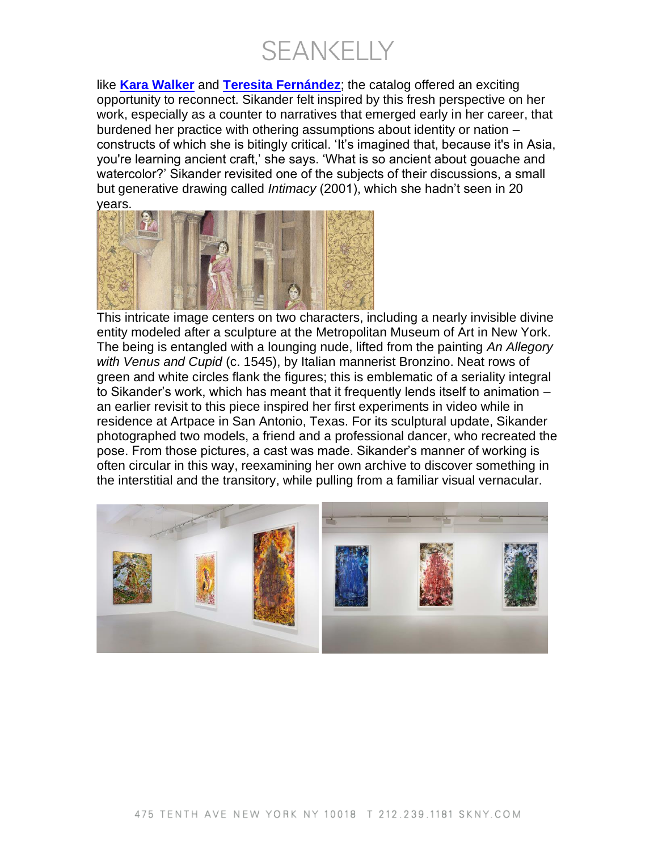**SEANKELLY** 

like **[Kara Walker](https://www.artbasel.com/catalog/artist/8327/Kara-Walker)** and **[Teresita Fernández](https://www.artbasel.com/catalog/artist/10008/Teresita-Fernandez)**; the catalog offered an exciting opportunity to reconnect. Sikander felt inspired by this fresh perspective on her work, especially as a counter to narratives that emerged early in her career, that burdened her practice with othering assumptions about identity or nation – constructs of which she is bitingly critical. 'It's imagined that, because it's in Asia, you're learning ancient craft,' she says. 'What is so ancient about gouache and watercolor?' Sikander revisited one of the subjects of their discussions, a small but generative drawing called *Intimacy* (2001), which she hadn't seen in 20 years.



This intricate image centers on two characters, including a nearly invisible divine entity modeled after a sculpture at the Metropolitan Museum of Art in New York. The being is entangled with a lounging nude, lifted from the painting *An Allegory with Venus and Cupid* (c. 1545), by Italian mannerist Bronzino. Neat rows of green and white circles flank the figures; this is emblematic of a seriality integral to Sikander's work, which has meant that it frequently lends itself to animation – an earlier revisit to this piece inspired her first experiments in video while in residence at Artpace in San Antonio, Texas. For its sculptural update, Sikander photographed two models, a friend and a professional dancer, who recreated the pose. From those pictures, a cast was made. Sikander's manner of working is often circular in this way, reexamining her own archive to discover something in the interstitial and the transitory, while pulling from a familiar visual vernacular.